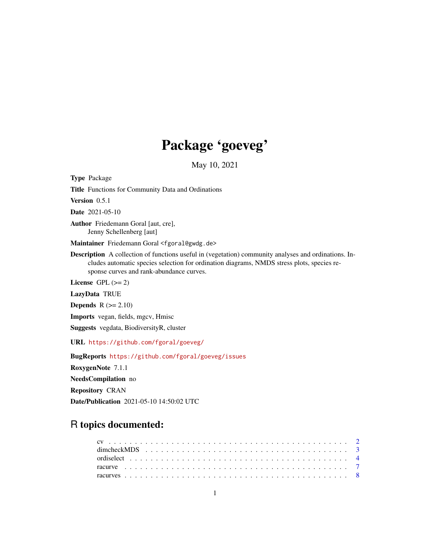# Package 'goeveg'

May 10, 2021

<span id="page-0-0"></span>Type Package Title Functions for Community Data and Ordinations Version 0.5.1 Date 2021-05-10 Author Friedemann Goral [aut, cre], Jenny Schellenberg [aut] Maintainer Friedemann Goral <fgoral@gwdg.de> Description A collection of functions useful in (vegetation) community analyses and ordinations. Includes automatic species selection for ordination diagrams, NMDS stress plots, species response curves and rank-abundance curves. License GPL  $(>= 2)$ LazyData TRUE Depends  $R$  ( $>= 2.10$ ) Imports vegan, fields, mgcv, Hmisc Suggests vegdata, BiodiversityR, cluster URL <https://github.com/fgoral/goeveg/> BugReports <https://github.com/fgoral/goeveg/issues> RoxygenNote 7.1.1

NeedsCompilation no

Repository CRAN

Date/Publication 2021-05-10 14:50:02 UTC

# R topics documented: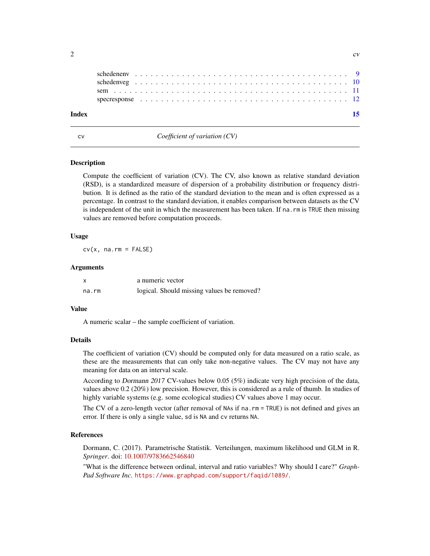<span id="page-1-0"></span>

| Index |  |  |  |  |  |  |  |  |  |  |  |  |  |  |  |  |  |  |  | - 15 |
|-------|--|--|--|--|--|--|--|--|--|--|--|--|--|--|--|--|--|--|--|------|
|       |  |  |  |  |  |  |  |  |  |  |  |  |  |  |  |  |  |  |  |      |
|       |  |  |  |  |  |  |  |  |  |  |  |  |  |  |  |  |  |  |  |      |
|       |  |  |  |  |  |  |  |  |  |  |  |  |  |  |  |  |  |  |  |      |
|       |  |  |  |  |  |  |  |  |  |  |  |  |  |  |  |  |  |  |  |      |
|       |  |  |  |  |  |  |  |  |  |  |  |  |  |  |  |  |  |  |  |      |

cv *Coefficient of variation (CV)*

#### Description

Compute the coefficient of variation (CV). The CV, also known as relative standard deviation (RSD), is a standardized measure of dispersion of a probability distribution or frequency distribution. It is defined as the ratio of the standard deviation to the mean and is often expressed as a percentage. In contrast to the standard deviation, it enables comparison between datasets as the CV is independent of the unit in which the measurement has been taken. If na.rm is TRUE then missing values are removed before computation proceeds.

#### Usage

 $cv(x, na.rm = FALSE)$ 

#### Arguments

|       | a numeric vector                           |
|-------|--------------------------------------------|
| na.rm | logical. Should missing values be removed? |

#### Value

A numeric scalar – the sample coefficient of variation.

# Details

The coefficient of variation (CV) should be computed only for data measured on a ratio scale, as these are the measurements that can only take non-negative values. The CV may not have any meaning for data on an interval scale.

According to Dormann 2017 CV-values below 0.05 (5%) indicate very high precision of the data, values above 0.2 (20%) low precision. However, this is considered as a rule of thumb. In studies of highly variable systems (e.g. some ecological studies) CV values above 1 may occur.

The CV of a zero-length vector (after removal of NAs if na.rm = TRUE) is not defined and gives an error. If there is only a single value, sd is NA and cv returns NA.

#### References

Dormann, C. (2017). Parametrische Statistik. Verteilungen, maximum likelihood und GLM in R. *Springer*. doi: [10.1007/9783662546840](https://doi.org/10.1007/978-3-662-54684-0)

"What is the difference between ordinal, interval and ratio variables? Why should I care?" *Graph-Pad Software Inc*. <https://www.graphpad.com/support/faqid/1089/>.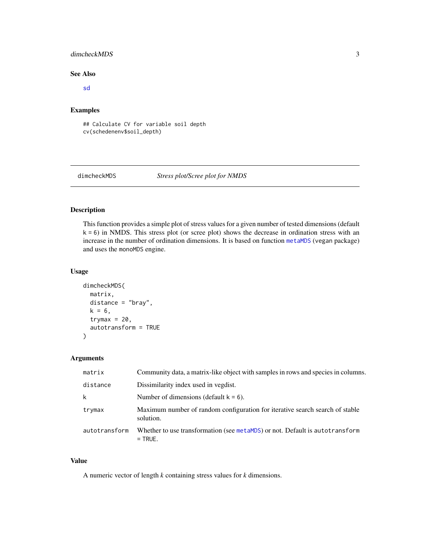### <span id="page-2-0"></span>dimcheckMDS 3

### See Also

[sd](#page-0-0)

# Examples

## Calculate CV for variable soil depth cv(schedenenv\$soil\_depth)

dimcheckMDS *Stress plot/Scree plot for NMDS*

# Description

This function provides a simple plot of stress values for a given number of tested dimensions (default  $k = 6$ ) in NMDS. This stress plot (or scree plot) shows the decrease in ordination stress with an increase in the number of ordination dimensions. It is based on function [metaMDS](#page-0-0) (vegan package) and uses the monoMDS engine.

# Usage

```
dimcheckMDS(
  matrix,
  distance = "bray",
  k = 6,
  trymax = 20,
  autotransform = TRUE
\mathcal{L}
```
### Arguments

| matrix        | Community data, a matrix-like object with samples in rows and species in columns.         |
|---------------|-------------------------------------------------------------------------------------------|
| distance      | Dissimilarity index used in vegdist.                                                      |
| k             | Number of dimensions (default $k = 6$ ).                                                  |
| trymax        | Maximum number of random configuration for iterative search search of stable<br>solution. |
| autotransform | Whether to use transformation (see metaMDS) or not. Default is autotransform<br>$=$ TRUE. |

#### Value

A numeric vector of length *k* containing stress values for *k* dimensions.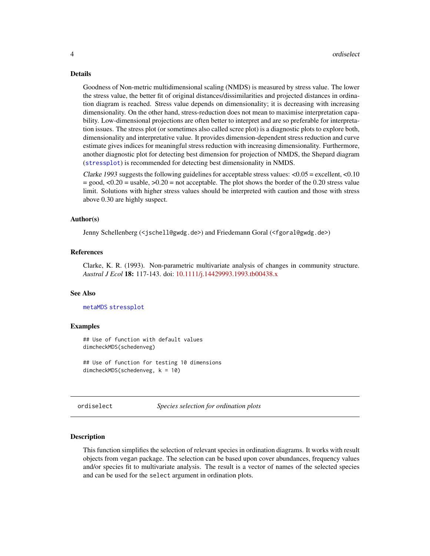#### <span id="page-3-0"></span>Details

Goodness of Non-metric multidimensional scaling (NMDS) is measured by stress value. The lower the stress value, the better fit of original distances/dissimilarities and projected distances in ordination diagram is reached. Stress value depends on dimensionality; it is decreasing with increasing dimensionality. On the other hand, stress-reduction does not mean to maximise interpretation capability. Low-dimensional projections are often better to interpret and are so preferable for interpretation issues. The stress plot (or sometimes also called scree plot) is a diagnostic plots to explore both, dimensionality and interpretative value. It provides dimension-dependent stress reduction and curve estimate gives indices for meaningful stress reduction with increasing dimensionality. Furthermore, another diagnostic plot for detecting best dimension for projection of NMDS, the Shepard diagram ([stressplot](#page-0-0)) is recommended for detecting best dimensionality in NMDS.

Clarke 1993 suggests the following guidelines for acceptable stress values:  $< 0.05$  = excellent,  $< 0.10$  $=$  good,  $< 0.20 =$  usable,  $> 0.20 =$  not acceptable. The plot shows the border of the 0.20 stress value limit. Solutions with higher stress values should be interpreted with caution and those with stress above 0.30 are highly suspect.

#### Author(s)

Jenny Schellenberg (<jschell@gwdg.de>) and Friedemann Goral (<fgoral@gwdg.de>)

#### References

Clarke, K. R. (1993). Non-parametric multivariate analysis of changes in community structure. *Austral J Ecol* 18: 117-143. doi: [10.1111/j.14429993.1993.tb00438.x](https://doi.org/10.1111/j.1442-9993.1993.tb00438.x)

#### See Also

[metaMDS](#page-0-0) [stressplot](#page-0-0)

#### Examples

## Use of function with default values dimcheckMDS(schedenveg)

## Use of function for testing 10 dimensions dimcheckMDS(schedenveg, k = 10)

ordiselect *Species selection for ordination plots*

#### Description

This function simplifies the selection of relevant species in ordination diagrams. It works with result objects from vegan package. The selection can be based upon cover abundances, frequency values and/or species fit to multivariate analysis. The result is a vector of names of the selected species and can be used for the select argument in ordination plots.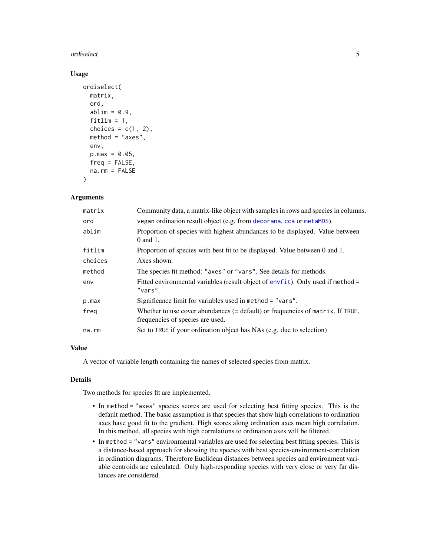#### <span id="page-4-0"></span>ordiselect 5

# Usage

```
ordiselect(
 matrix,
  ord,
  ablim = 0.9,
  fitlim = 1,
  choices = c(1, 2),
  method = "axes",env,
  p.max = 0.05,
  freq = FALSE,na.rm = FALSE
)
```
# Arguments

| matrix  | Community data, a matrix-like object with samples in rows and species in columns.                                  |
|---------|--------------------------------------------------------------------------------------------------------------------|
| ord     | vegan ordination result object (e.g. from decorana, cca or metaMDS).                                               |
| ablim   | Proportion of species with highest abundances to be displayed. Value between<br>$0$ and $1$ .                      |
| fitlim  | Proportion of species with best fit to be displayed. Value between 0 and 1.                                        |
| choices | Axes shown.                                                                                                        |
| method  | The species fit method: "axes" or "vars". See details for methods.                                                 |
| env     | Fitted environmental variables (result object of env $fit$ ). Only used if method =<br>"vars".                     |
| p.max   | Significance limit for variables used in method = "vars".                                                          |
| freg    | Whether to use cover abundances (= default) or frequencies of matrix. If TRUE,<br>frequencies of species are used. |
| na.rm   | Set to TRUE if your ordination object has NAs (e.g. due to selection)                                              |

# Value

A vector of variable length containing the names of selected species from matrix.

#### Details

Two methods for species fit are implemented.

- In method = "axes" species scores are used for selecting best fitting species. This is the default method. The basic assumption is that species that show high correlations to ordination axes have good fit to the gradient. High scores along ordination axes mean high correlation. In this method, all species with high correlations to ordination axes will be filtered.
- In method = "vars" environmental variables are used for selecting best fitting species. This is a distance-based approach for showing the species with best species-environment-correlation in ordination diagrams. Therefore Euclidean distances between species and environment variable centroids are calculated. Only high-responding species with very close or very far distances are considered.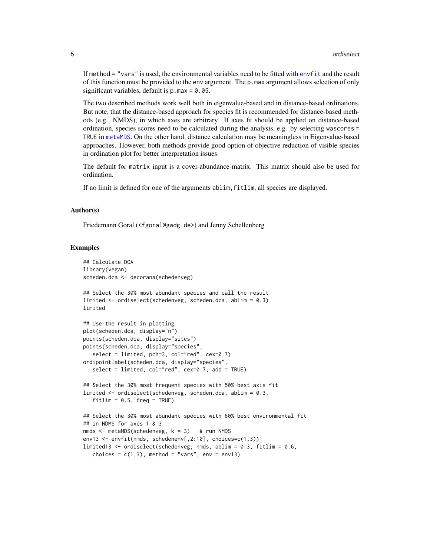If method = "vars" is used, the environmental variables need to be fitted with [envfit](#page-0-0) and the result of this function must be provided to the env argument. The p.max argument allows selection of only significant variables, default is  $p \cdot max = 0.05$ .

The two described methods work well both in eigenvalue-based and in distance-based ordinations. But note, that the distance-based approach for species fit is recommended for distance-based methods (e.g. NMDS), in which axes are arbitrary. If axes fit should be applied on distance-based ordination, species scores need to be calculated during the analysis, e.g. by selecting wascores = TRUE in [metaMDS](#page-0-0). On the other hand, distance calculation may be meaningless in Eigenvalue-based approaches. However, both methods provide good option of objective reduction of visible species in ordination plot for better interpretation issues.

The default for matrix input is a cover-abundance-matrix. This matrix should also be used for ordination.

If no limit is defined for one of the arguments ablim, fitlim, all species are displayed.

#### Author(s)

Friedemann Goral (<fgoral@gwdg.de>) and Jenny Schellenberg

#### Examples

```
## Calculate DCA
library(vegan)
scheden.dca <- decorana(schedenveg)
## Select the 30% most abundant species and call the result
limited <- ordiselect(schedenveg, scheden.dca, ablim = 0.3)
limited
## Use the result in plotting
plot(scheden.dca, display="n")
points(scheden.dca, display="sites")
points(scheden.dca, display="species",
   select = limited, pch=3, col="red", cex=0.7)
ordipointlabel(scheden.dca, display="species",
   select = limited, col="red", cex=0.7, add = TRUE)
## Select the 30% most frequent species with 50% best axis fit
limited <- ordiselect(schedenveg, scheden.dca, ablim = 0.3,
   fitlim = 0.5, freq = TRUE)
## Select the 30% most abundant species with 60% best environmental fit
## in NDMS for axes 1 & 3
nmds \le metaMDS(schedenveg, k = 3) # run NMDS
env13 <- envfit(nmds, schedenenv[,2:10], choices=c(1,3))
limited13 \leq ordiselect(schedenveg, nmds, ablim = 0.3, fitlim = 0.6,
   choices = c(1,3), method = "vars", env = env13)
```
<span id="page-5-0"></span>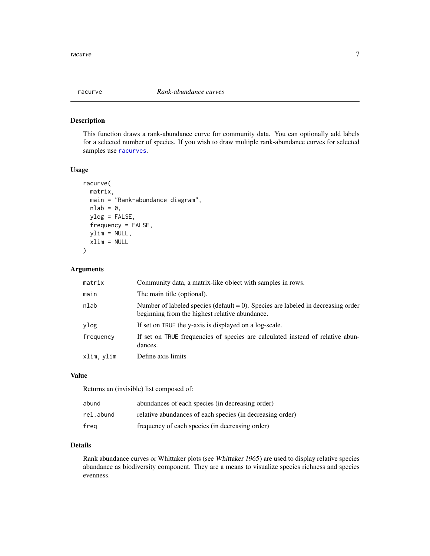<span id="page-6-1"></span><span id="page-6-0"></span>

#### Description

This function draws a rank-abundance curve for community data. You can optionally add labels for a selected number of species. If you wish to draw multiple rank-abundance curves for selected samples use [racurves](#page-7-1).

#### Usage

```
racurve(
 matrix,
 main = "Rank-abundance diagram",
 nlab = 0,ylog = FALSE,
  frequency = FALSE,
 ylim = NULL,
 xlim = NULL
)
```
#### Arguments

| matrix     | Community data, a matrix-like object with samples in rows.                                                                            |
|------------|---------------------------------------------------------------------------------------------------------------------------------------|
| main       | The main title (optional).                                                                                                            |
| nlab       | Number of labeled species (default = $0$ ). Species are labeled in decreasing order<br>beginning from the highest relative abundance. |
| ylog       | If set on TRUE the y-axis is displayed on a log-scale.                                                                                |
| frequency  | If set on TRUE frequencies of species are calculated instead of relative abun-<br>dances.                                             |
| xlim, ylim | Define axis limits                                                                                                                    |

### Value

Returns an (invisible) list composed of:

| abund     | abundances of each species (in decreasing order)          |
|-----------|-----------------------------------------------------------|
| rel.abund | relative abundances of each species (in decreasing order) |
| frea      | frequency of each species (in decreasing order)           |

#### Details

Rank abundance curves or Whittaker plots (see Whittaker 1965) are used to display relative species abundance as biodiversity component. They are a means to visualize species richness and species evenness.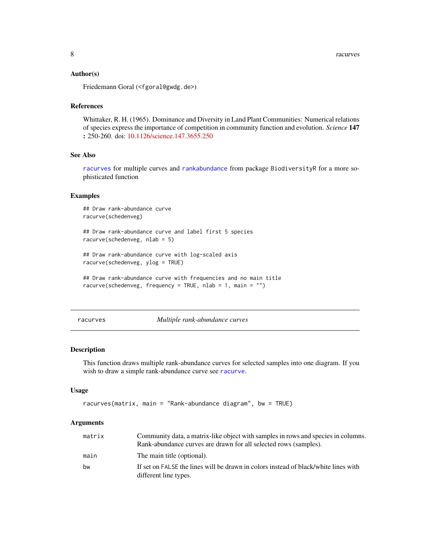#### <span id="page-7-0"></span>Author(s)

Friedemann Goral (<fgoral@gwdg.de>)

#### References

Whittaker, R. H. (1965). Dominance and Diversity in Land Plant Communities: Numerical relations of species express the importance of competition in community function and evolution. *Science* 147 : 250-260. doi: [10.1126/science.147.3655.250](https://doi.org/10.1126/science.147.3655.250)

# See Also

[racurves](#page-7-1) for multiple curves and [rankabundance](#page-0-0) from package BiodiversityR for a more sophisticated function

#### Examples

```
## Draw rank-abundance curve
racurve(schedenveg)
## Draw rank-abundance curve and label first 5 species
racurve(schedenveg, nlab = 5)
## Draw rank-abundance curve with log-scaled axis
racurve(schedenveg, ylog = TRUE)
```
## Draw rank-abundance curve with frequencies and no main title racurve(schedenveg, frequency = TRUE, nlab = 1, main =  $"$ )

<span id="page-7-1"></span>racurves *Multiple rank-abundance curves*

#### Description

This function draws multiple rank-abundance curves for selected samples into one diagram. If you wish to draw a simple rank-abundance curve see [racurve](#page-6-1).

#### Usage

```
racurves(matrix, main = "Rank-abundance diagram", bw = TRUE)
```
#### Arguments

| matrix | Community data, a matrix-like object with samples in rows and species in columns.<br>Rank-abundance curves are drawn for all selected rows (samples). |
|--------|-------------------------------------------------------------------------------------------------------------------------------------------------------|
| main   | The main title (optional).                                                                                                                            |
| bw     | If set on FALSE the lines will be drawn in colors instead of black/white lines with<br>different line types.                                          |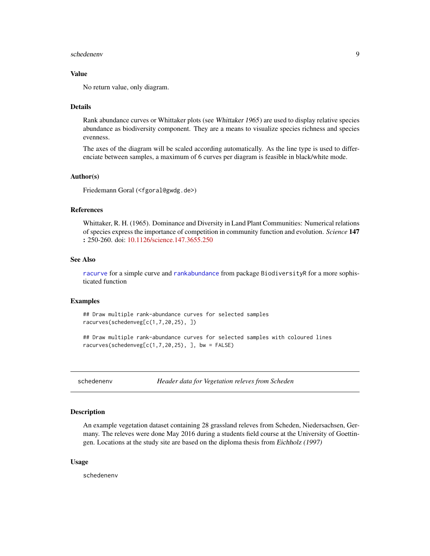#### <span id="page-8-0"></span>schedenenv 9

# Value

No return value, only diagram.

#### Details

Rank abundance curves or Whittaker plots (see Whittaker 1965) are used to display relative species abundance as biodiversity component. They are a means to visualize species richness and species evenness.

The axes of the diagram will be scaled according automatically. As the line type is used to differenciate between samples, a maximum of 6 curves per diagram is feasible in black/white mode.

#### Author(s)

Friedemann Goral (<fgoral@gwdg.de>)

#### References

Whittaker, R. H. (1965). Dominance and Diversity in Land Plant Communities: Numerical relations of species express the importance of competition in community function and evolution. *Science* 147 : 250-260. doi: [10.1126/science.147.3655.250](https://doi.org/10.1126/science.147.3655.250)

#### See Also

[racurve](#page-6-1) for a simple curve and [rankabundance](#page-0-0) from package BiodiversityR for a more sophisticated function

#### Examples

## Draw multiple rank-abundance curves for selected samples racurves(schedenveg[c(1,7,20,25), ])

## Draw multiple rank-abundance curves for selected samples with coloured lines racurves(schedenveg[c(1,7,20,25), ], bw = FALSE)

schedenenv *Header data for Vegetation releves from Scheden*

#### Description

An example vegetation dataset containing 28 grassland releves from Scheden, Niedersachsen, Germany. The releves were done May 2016 during a students field course at the University of Goettingen. Locations at the study site are based on the diploma thesis from Eichholz (1997)

#### Usage

schedenenv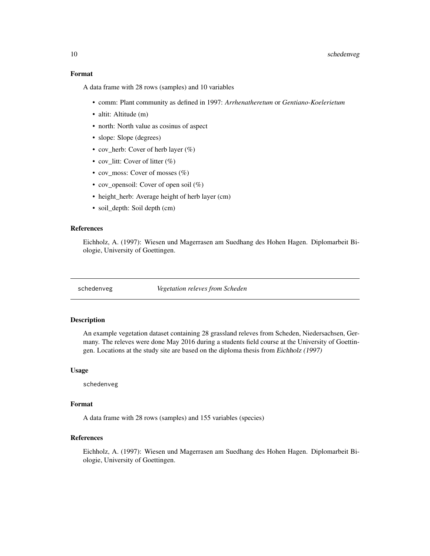### <span id="page-9-0"></span>10 schedenveg

## Format

A data frame with 28 rows (samples) and 10 variables

- comm: Plant community as defined in 1997: *Arrhenatheretum* or *Gentiano-Koelerietum*
- altit: Altitude (m)
- north: North value as cosinus of aspect
- slope: Slope (degrees)
- cov\_herb: Cover of herb layer  $(\%)$
- cov\_litt: Cover of litter (%)
- cov\_moss: Cover of mosses (%)
- cov\_opensoil: Cover of open soil  $(\%)$
- height\_herb: Average height of herb layer (cm)
- soil\_depth: Soil depth (cm)

# References

Eichholz, A. (1997): Wiesen und Magerrasen am Suedhang des Hohen Hagen. Diplomarbeit Biologie, University of Goettingen.

schedenveg *Vegetation releves from Scheden*

# Description

An example vegetation dataset containing 28 grassland releves from Scheden, Niedersachsen, Germany. The releves were done May 2016 during a students field course at the University of Goettingen. Locations at the study site are based on the diploma thesis from Eichholz (1997)

#### Usage

schedenveg

#### Format

A data frame with 28 rows (samples) and 155 variables (species)

# References

Eichholz, A. (1997): Wiesen und Magerrasen am Suedhang des Hohen Hagen. Diplomarbeit Biologie, University of Goettingen.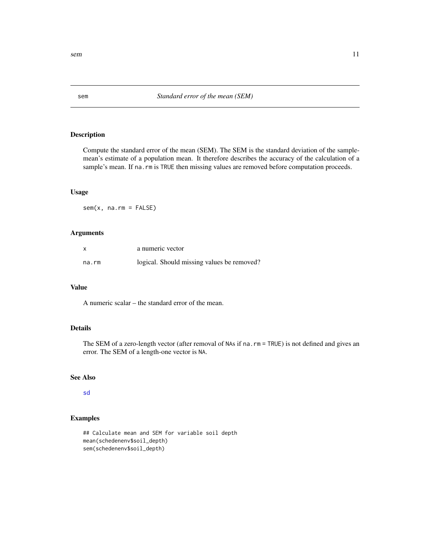# Description

Compute the standard error of the mean (SEM). The SEM is the standard deviation of the samplemean's estimate of a population mean. It therefore describes the accuracy of the calculation of a sample's mean. If na.rm is TRUE then missing values are removed before computation proceeds.

# Usage

sem(x, na.rm = FALSE)

#### Arguments

| $\boldsymbol{\mathsf{x}}$ | a numeric vector                           |
|---------------------------|--------------------------------------------|
| na.rm                     | logical. Should missing values be removed? |

#### Value

A numeric scalar – the standard error of the mean.

# Details

The SEM of a zero-length vector (after removal of NAs if na.rm = TRUE) is not defined and gives an error. The SEM of a length-one vector is NA.

## See Also

[sd](#page-0-0)

# Examples

```
## Calculate mean and SEM for variable soil depth
mean(schedenenv$soil_depth)
sem(schedenenv$soil_depth)
```
<span id="page-10-0"></span>sem and the set of the set of the set of the set of the set of the set of the set of the set of the set of the set of the set of the set of the set of the set of the set of the set of the set of the set of the set of the s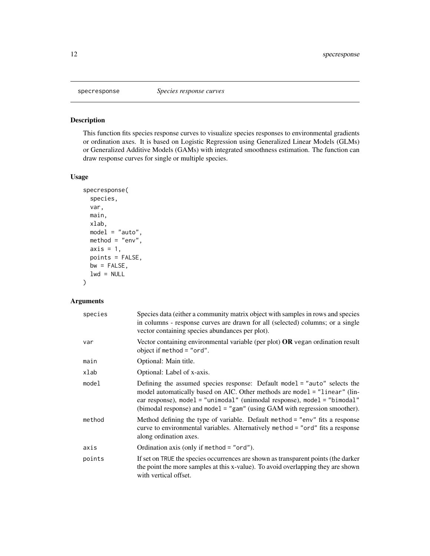<span id="page-11-0"></span>

# Description

This function fits species response curves to visualize species responses to environmental gradients or ordination axes. It is based on Logistic Regression using Generalized Linear Models (GLMs) or Generalized Additive Models (GAMs) with integrated smoothness estimation. The function can draw response curves for single or multiple species.

# Usage

```
specresponse(
  species,
  var,
 main,
 xlab,
 model = "auto",
 \text{method} = \text{"env",}axis = 1,
 points = FALSE,
 bw = FALSE,lwd = NULL)
```
# Arguments

| species | Species data (either a community matrix object with samples in rows and species<br>in columns - response curves are drawn for all (selected) columns; or a single<br>vector containing species abundances per plot).                                                                                                |
|---------|---------------------------------------------------------------------------------------------------------------------------------------------------------------------------------------------------------------------------------------------------------------------------------------------------------------------|
| var     | Vector containing environmental variable (per plot) $OR$ vegan ordination result<br>object if method $=$ "ord".                                                                                                                                                                                                     |
| main    | Optional: Main title.                                                                                                                                                                                                                                                                                               |
| xlab    | Optional: Label of x-axis.                                                                                                                                                                                                                                                                                          |
| model   | Defining the assumed species response: Default model = "auto" selects the<br>model automatically based on AIC. Other methods are model = "linear" (lin-<br>ear response), model = "unimodal" (unimodal response), model = "bimodal"<br>(bimodal response) and model $=$ "gam" (using GAM with regression smoother). |
| method  | Method defining the type of variable. Default method = "env" fits a response<br>curve to environmental variables. Alternatively method = "ord" fits a response<br>along ordination axes.                                                                                                                            |
| axis    | Ordination axis (only if method $=$ "ord").                                                                                                                                                                                                                                                                         |
| points  | If set on TRUE the species occurrences are shown as transparent points (the darker<br>the point the more samples at this x-value). To avoid overlapping they are shown<br>with vertical offset.                                                                                                                     |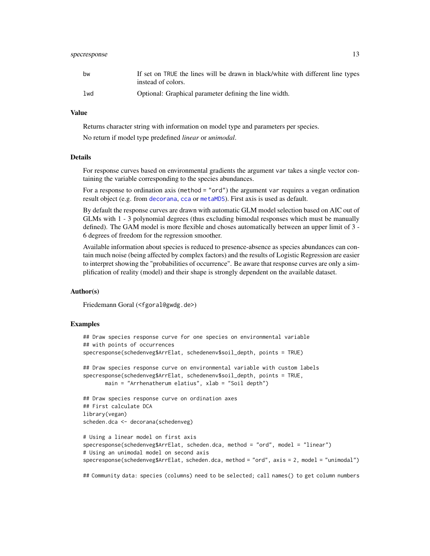#### <span id="page-12-0"></span>specresponse 13

| bw  | If set on TRUE the lines will be drawn in black/white with different line types |
|-----|---------------------------------------------------------------------------------|
|     | instead of colors.                                                              |
| 1wd | Optional: Graphical parameter defining the line width.                          |

#### Value

Returns character string with information on model type and parameters per species.

No return if model type predefined *linear* or *unimodal*.

#### Details

For response curves based on environmental gradients the argument var takes a single vector containing the variable corresponding to the species abundances.

For a response to ordination axis (method = "ord") the argument var requires a vegan ordination result object (e.g. from [decorana](#page-0-0), [cca](#page-0-0) or [metaMDS](#page-0-0)). First axis is used as default.

By default the response curves are drawn with automatic GLM model selection based on AIC out of GLMs with 1 - 3 polynomial degrees (thus excluding bimodal responses which must be manually defined). The GAM model is more flexible and choses automatically between an upper limit of 3 - 6 degrees of freedom for the regression smoother.

Available information about species is reduced to presence-absence as species abundances can contain much noise (being affected by complex factors) and the results of Logistic Regression are easier to interpret showing the "probabilities of occurrence". Be aware that response curves are only a simplification of reality (model) and their shape is strongly dependent on the available dataset.

#### Author(s)

Friedemann Goral (<fgoral@gwdg.de>)

#### Examples

```
## Draw species response curve for one species on environmental variable
## with points of occurrences
specresponse(schedenveg$ArrElat, schedenenv$soil_depth, points = TRUE)
## Draw species response curve on environmental variable with custom labels
specresponse(schedenveg$ArrElat, schedenenv$soil_depth, points = TRUE,
      main = "Arrhenatherum elatius", xlab = "Soil depth")
## Draw species response curve on ordination axes
## First calculate DCA
library(vegan)
scheden.dca <- decorana(schedenveg)
# Using a linear model on first axis
specresponse(schedenveg$ArrElat, scheden.dca, method = "ord", model = "linear")
# Using an unimodal model on second axis
specresponse(schedenveg$ArrElat, scheden.dca, method = "ord", axis = 2, model = "unimodal")
```
## Community data: species (columns) need to be selected; call names() to get column numbers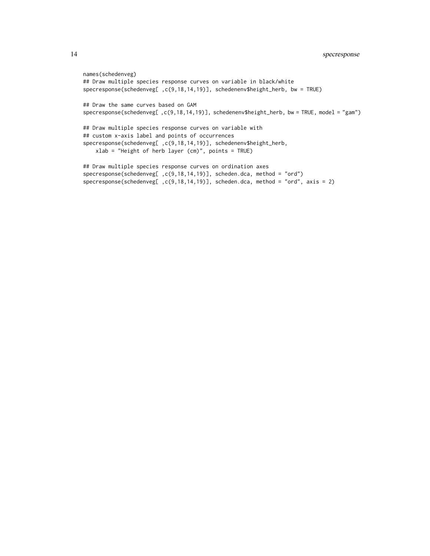```
names(schedenveg)
## Draw multiple species response curves on variable in black/white
specresponse(schedenveg[ ,c(9,18,14,19)], schedenenv$height_herb, bw = TRUE)
## Draw the same curves based on GAM
specresponse(schedenveg[ ,c(9,18,14,19)], schedenenv$height_herb, bw = TRUE, model = "gam")
## Draw multiple species response curves on variable with
## custom x-axis label and points of occurrences
specresponse(schedenveg[ ,c(9,18,14,19)], schedenenv$height_herb,
    xlab = "Height of herb layer (cm)", points = TRUE)
## Draw multiple species response curves on ordination axes
specresponse(schedenveg[ ,c(9,18,14,19)], scheden.dca, method = "ord")
```

```
specresponse(schedenveg[ ,c(9,18,14,19)], scheden.dca, method = "ord", axis = 2)
```